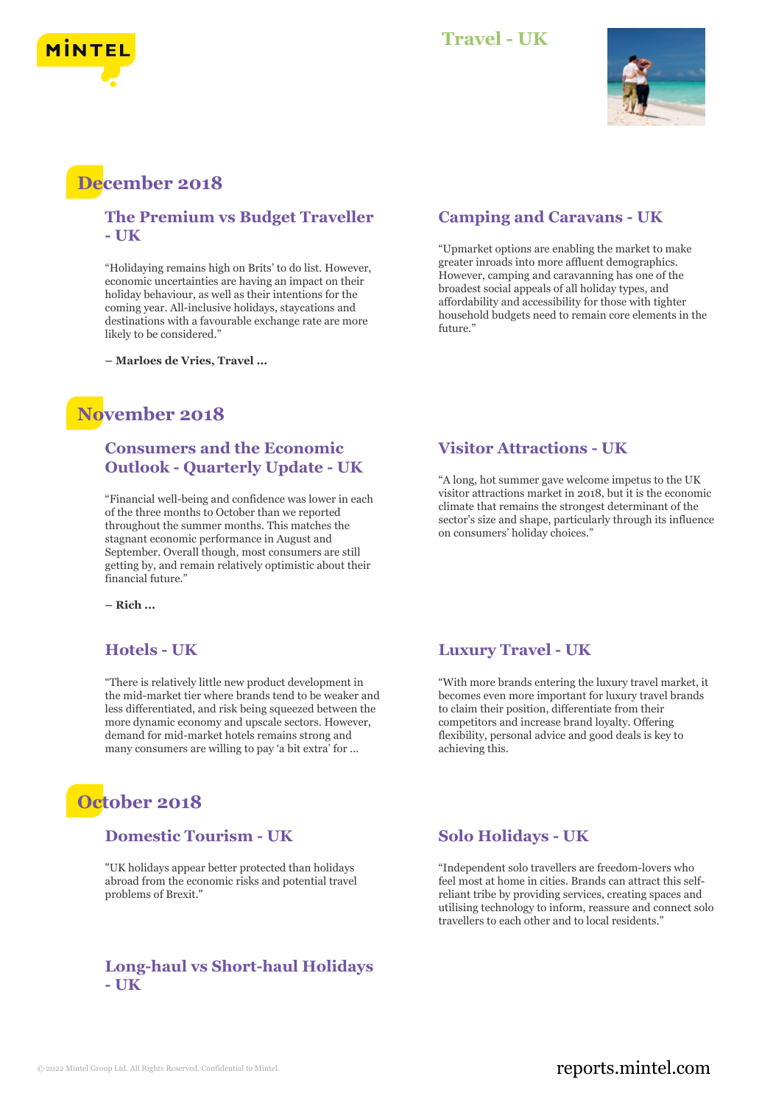

#### **Travel - UK**



# **December 2018**

#### **The Premium vs Budget Traveller - UK**

"Holidaying remains high on Brits' to do list. However, economic uncertainties are having an impact on their holiday behaviour, as well as their intentions for the coming year. All-inclusive holidays, staycations and destinations with a favourable exchange rate are more likely to be considered."

**– Marloes de Vries, Travel ...**

# **November 2018**

#### **Consumers and the Economic Outlook - Quarterly Update - UK**

"Financial well-being and confidence was lower in each of the three months to October than we reported throughout the summer months. This matches the stagnant economic performance in August and September. Overall though, most consumers are still getting by, and remain relatively optimistic about their financial future."

**– Rich ...**

### **Hotels - UK**

"There is relatively little new product development in the mid-market tier where brands tend to be weaker and less differentiated, and risk being squeezed between the more dynamic economy and upscale sectors. However, demand for mid-market hotels remains strong and many consumers are willing to pay 'a bit extra' for ...

# **October 2018**

#### **Domestic Tourism - UK**

"UK holidays appear better protected than holidays abroad from the economic risks and potential travel problems of Brexit."

#### **Long-haul vs Short-haul Holidays - UK**

#### **Camping and Caravans - UK**

"Upmarket options are enabling the market to make greater inroads into more affluent demographics. However, camping and caravanning has one of the broadest social appeals of all holiday types, and affordability and accessibility for those with tighter household budgets need to remain core elements in the future."

#### **Visitor Attractions - UK**

"A long, hot summer gave welcome impetus to the UK visitor attractions market in 2018, but it is the economic climate that remains the strongest determinant of the sector's size and shape, particularly through its influence on consumers' holiday choices."

#### **Luxury Travel - UK**

"With more brands entering the luxury travel market, it becomes even more important for luxury travel brands to claim their position, differentiate from their competitors and increase brand loyalty. Offering flexibility, personal advice and good deals is key to achieving this.

#### **Solo Holidays - UK**

"Independent solo travellers are freedom-lovers who feel most at home in cities. Brands can attract this selfreliant tribe by providing services, creating spaces and utilising technology to inform, reassure and connect solo travellers to each other and to local residents."

## © 2022 Mintel Group Ltd. All Rights Reserved. Confidential to Mintel.  $\blacksquare$  reports.mintel.com